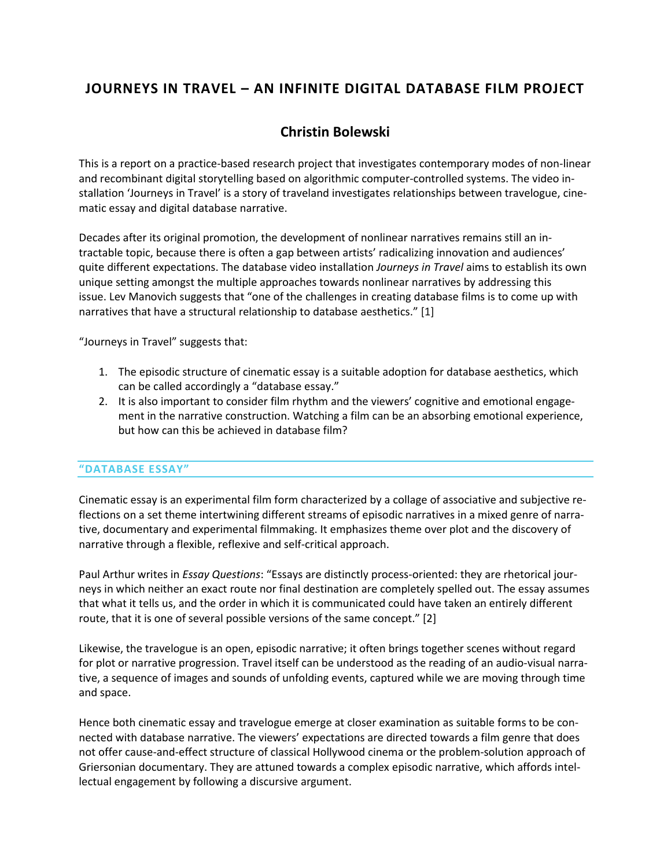# **JOURNEYS IN TRAVEL – AN INFINITE DIGITAL DATABASE FILM PROJECT**

## **Christin Bolewski**

This is a report on a practice-based research project that investigates contemporary modes of non-linear and recombinant digital storytelling based on algorithmic computer-controlled systems. The video installation 'Journeys in Travel' is a story of traveland investigates relationships between travelogue, cinematic essay and digital database narrative.

Decades after its original promotion, the development of nonlinear narratives remains still an intractable topic, because there is often a gap between artists' radicalizing innovation and audiences' quite different expectations. The database video installation *Journeys in Travel* aims to establish its own unique setting amongst the multiple approaches towards nonlinear narratives by addressing this issue. Lev Manovich suggests that "one of the challenges in creating database films is to come up with narratives that have a structural relationship to database aesthetics." [1]

"Journeys in Travel" suggests that:

- 1. The episodic structure of cinematic essay is a suitable adoption for database aesthetics, which can be called accordingly a "database essay."
- 2. It is also important to consider film rhythm and the viewers' cognitive and emotional engagement in the narrative construction. Watching a film can be an absorbing emotional experience, but how can this be achieved in database film?

## **"DATABASE ESSAY"**

Cinematic essay is an experimental film form characterized by a collage of associative and subjective reflections on a set theme intertwining different streams of episodic narratives in a mixed genre of narrative, documentary and experimental filmmaking. It emphasizes theme over plot and the discovery of narrative through a flexible, reflexive and self-critical approach.

Paul Arthur writes in *Essay Questions*: "Essays are distinctly process-oriented: they are rhetorical journeys in which neither an exact route nor final destination are completely spelled out. The essay assumes that what it tells us, and the order in which it is communicated could have taken an entirely different route, that it is one of several possible versions of the same concept." [2]

Likewise, the travelogue is an open, episodic narrative; it often brings together scenes without regard for plot or narrative progression. Travel itself can be understood as the reading of an audio-visual narrative, a sequence of images and sounds of unfolding events, captured while we are moving through time and space.

Hence both cinematic essay and travelogue emerge at closer examination as suitable forms to be connected with database narrative. The viewers' expectations are directed towards a film genre that does not offer cause-and-effect structure of classical Hollywood cinema or the problem-solution approach of Griersonian documentary. They are attuned towards a complex episodic narrative, which affords intellectual engagement by following a discursive argument.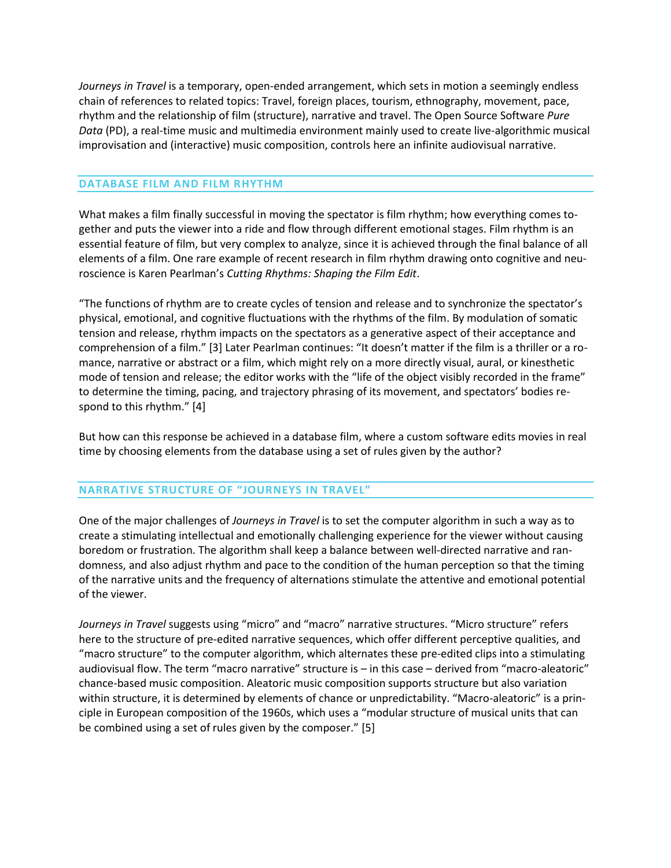*Journeys in Travel* is a temporary, open-ended arrangement, which sets in motion a seemingly endless chain of references to related topics: Travel, foreign places, tourism, ethnography, movement, pace, rhythm and the relationship of film (structure), narrative and travel. The Open Source Software *Pure Data* (PD), a real-time music and multimedia environment mainly used to create live-algorithmic musical improvisation and (interactive) music composition, controls here an infinite audiovisual narrative.

### **DATABASE FILM AND FILM RHYTHM**

What makes a film finally successful in moving the spectator is film rhythm; how everything comes together and puts the viewer into a ride and flow through different emotional stages. Film rhythm is an essential feature of film, but very complex to analyze, since it is achieved through the final balance of all elements of a film. One rare example of recent research in film rhythm drawing onto cognitive and neuroscience is Karen Pearlman's *Cutting Rhythms: Shaping the Film Edit*.

"The functions of rhythm are to create cycles of tension and release and to synchronize the spectator's physical, emotional, and cognitive fluctuations with the rhythms of the film. By modulation of somatic tension and release, rhythm impacts on the spectators as a generative aspect of their acceptance and comprehension of a film." [3] Later Pearlman continues: "It doesn't matter if the film is a thriller or a romance, narrative or abstract or a film, which might rely on a more directly visual, aural, or kinesthetic mode of tension and release; the editor works with the "life of the object visibly recorded in the frame" to determine the timing, pacing, and trajectory phrasing of its movement, and spectators' bodies respond to this rhythm." [4]

But how can this response be achieved in a database film, where a custom software edits movies in real time by choosing elements from the database using a set of rules given by the author?

#### **NARRATIVE STRUCTURE OF "JOURNEYS IN TRAVEL"**

One of the major challenges of *Journeys in Travel* is to set the computer algorithm in such a way as to create a stimulating intellectual and emotionally challenging experience for the viewer without causing boredom or frustration. The algorithm shall keep a balance between well-directed narrative and randomness, and also adjust rhythm and pace to the condition of the human perception so that the timing of the narrative units and the frequency of alternations stimulate the attentive and emotional potential of the viewer.

*Journeys in Travel* suggests using "micro" and "macro" narrative structures. "Micro structure" refers here to the structure of pre-edited narrative sequences, which offer different perceptive qualities, and "macro structure" to the computer algorithm, which alternates these pre-edited clips into a stimulating audiovisual flow. The term "macro narrative" structure is – in this case – derived from "macro-aleatoric" chance-based music composition. Aleatoric music composition supports structure but also variation within structure, it is determined by elements of chance or unpredictability. "Macro-aleatoric" is a principle in European composition of the 1960s, which uses a "modular structure of musical units that can be combined using a set of rules given by the composer." [5]